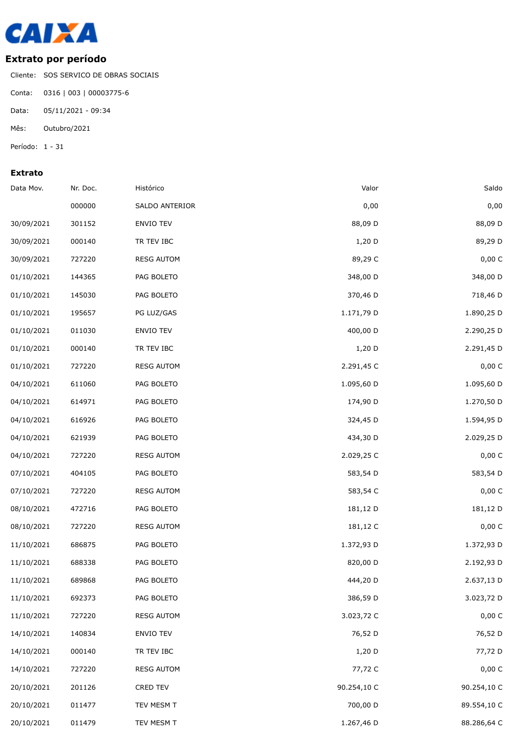

## **Extrato por período**

Cliente: SOS SERVICO DE OBRAS SOCIAIS

Conta: 0316 | 003 | 00003775-6

Data: 05/11/2021 - 09:34

Mês: Outubro/2021

Período: 1 - 31

## **Extrato**

| Data Mov.  | Nr. Doc. | Histórico         | Valor       | Saldo       |
|------------|----------|-------------------|-------------|-------------|
|            | 000000   | SALDO ANTERIOR    | 0,00        | 0,00        |
| 30/09/2021 | 301152   | ENVIO TEV         | 88,09 D     | 88,09 D     |
| 30/09/2021 | 000140   | TR TEV IBC        | $1,20$ D    | 89,29 D     |
| 30/09/2021 | 727220   | <b>RESG AUTOM</b> | 89,29 C     | 0,00 C      |
| 01/10/2021 | 144365   | PAG BOLETO        | 348,00 D    | 348,00 D    |
| 01/10/2021 | 145030   | PAG BOLETO        | 370,46 D    | 718,46 D    |
| 01/10/2021 | 195657   | PG LUZ/GAS        | 1.171,79 D  | 1.890,25 D  |
| 01/10/2021 | 011030   | ENVIO TEV         | 400,00 D    | 2.290,25 D  |
| 01/10/2021 | 000140   | TR TEV IBC        | $1,20$ D    | 2.291,45 D  |
| 01/10/2021 | 727220   | <b>RESG AUTOM</b> | 2.291,45 C  | 0,00 C      |
| 04/10/2021 | 611060   | PAG BOLETO        | 1.095,60 D  | 1.095,60 D  |
| 04/10/2021 | 614971   | PAG BOLETO        | 174,90 D    | 1.270,50 D  |
| 04/10/2021 | 616926   | PAG BOLETO        | 324,45 D    | 1.594,95 D  |
| 04/10/2021 | 621939   | PAG BOLETO        | 434,30 D    | 2.029,25 D  |
| 04/10/2021 | 727220   | <b>RESG AUTOM</b> | 2.029,25 C  | 0,00 C      |
| 07/10/2021 | 404105   | PAG BOLETO        | 583,54 D    | 583,54 D    |
| 07/10/2021 | 727220   | <b>RESG AUTOM</b> | 583,54 C    | 0,00 C      |
| 08/10/2021 | 472716   | PAG BOLETO        | 181,12 D    | 181,12 D    |
| 08/10/2021 | 727220   | <b>RESG AUTOM</b> | 181,12 C    | 0,00 C      |
| 11/10/2021 | 686875   | PAG BOLETO        | 1.372,93 D  | 1.372,93 D  |
| 11/10/2021 | 688338   | PAG BOLETO        | 820,00 D    | 2.192,93 D  |
| 11/10/2021 | 689868   | PAG BOLETO        | 444,20 D    | 2.637,13 D  |
| 11/10/2021 | 692373   | PAG BOLETO        | 386,59 D    | 3.023,72 D  |
| 11/10/2021 | 727220   | <b>RESG AUTOM</b> | 3.023,72 C  | 0,00 C      |
| 14/10/2021 | 140834   | ENVIO TEV         | 76,52 D     | 76,52 D     |
| 14/10/2021 | 000140   | TR TEV IBC        | $1,20$ D    | 77,72 D     |
| 14/10/2021 | 727220   | <b>RESG AUTOM</b> | 77,72 C     | 0,00 C      |
| 20/10/2021 | 201126   | CRED TEV          | 90.254,10 C | 90.254,10 C |
| 20/10/2021 | 011477   | TEV MESM T        | 700,00 D    | 89.554,10 C |
| 20/10/2021 | 011479   | TEV MESM T        | 1.267,46 D  | 88.286,64 C |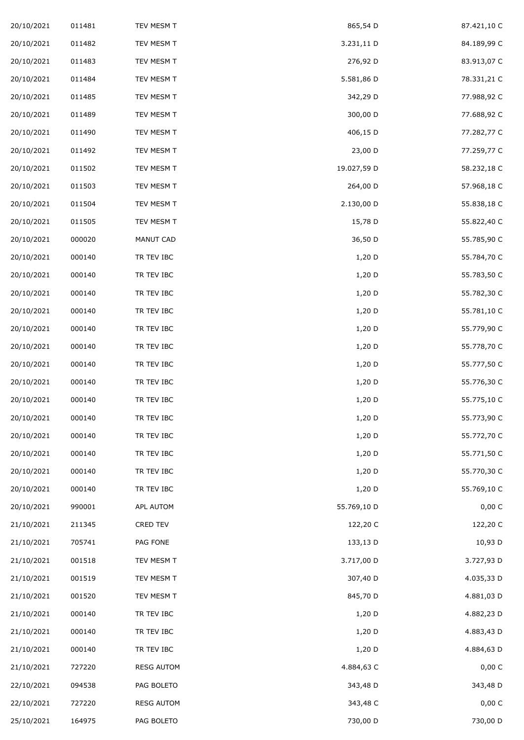| 20/10/2021 | 011481 | TEV MESM T        | 865,54 D    | 87.421,10 C |
|------------|--------|-------------------|-------------|-------------|
| 20/10/2021 | 011482 | TEV MESM T        | 3.231,11 D  | 84.189,99 C |
| 20/10/2021 | 011483 | TEV MESM T        | 276,92 D    | 83.913,07 C |
| 20/10/2021 | 011484 | TEV MESM T        | 5.581,86 D  | 78.331,21 C |
| 20/10/2021 | 011485 | TEV MESM T        | 342,29 D    | 77.988,92 C |
| 20/10/2021 | 011489 | TEV MESM T        | 300,00 D    | 77.688,92 C |
| 20/10/2021 | 011490 | TEV MESM T        | 406,15 D    | 77.282,77 C |
| 20/10/2021 | 011492 | TEV MESM T        | 23,00 D     | 77.259,77 C |
| 20/10/2021 | 011502 | TEV MESM T        | 19.027,59 D | 58.232,18 C |
| 20/10/2021 | 011503 | TEV MESM T        | 264,00 D    | 57.968,18 C |
| 20/10/2021 | 011504 | TEV MESM T        | 2.130,00 D  | 55.838,18 C |
| 20/10/2021 | 011505 | TEV MESM T        | 15,78 D     | 55.822,40 C |
| 20/10/2021 | 000020 | MANUT CAD         | 36,50 D     | 55.785,90 C |
| 20/10/2021 | 000140 | TR TEV IBC        | 1,20 D      | 55.784,70 C |
| 20/10/2021 | 000140 | TR TEV IBC        | 1,20 D      | 55.783,50 C |
| 20/10/2021 | 000140 | TR TEV IBC        | 1,20 D      | 55.782,30 C |
| 20/10/2021 | 000140 | TR TEV IBC        | 1,20 D      | 55.781,10 C |
| 20/10/2021 | 000140 | TR TEV IBC        | 1,20 D      | 55.779,90 C |
| 20/10/2021 | 000140 | TR TEV IBC        | 1,20 D      | 55.778,70 C |
| 20/10/2021 | 000140 | TR TEV IBC        | 1,20 D      | 55.777,50 C |
| 20/10/2021 | 000140 | TR TEV IBC        | 1,20 D      | 55.776,30 C |
| 20/10/2021 | 000140 | TR TEV IBC        | 1,20 D      | 55.775,10 C |
| 20/10/2021 | 000140 | TR TEV IBC        | 1,20 D      | 55.773,90 C |
| 20/10/2021 | 000140 | TR TEV IBC        | 1,20 D      | 55.772,70 C |
| 20/10/2021 | 000140 | TR TEV IBC        | 1,20 D      | 55.771,50 C |
| 20/10/2021 | 000140 | TR TEV IBC        | 1,20 D      | 55.770,30 C |
| 20/10/2021 | 000140 | TR TEV IBC        | 1,20 D      | 55.769,10 C |
| 20/10/2021 | 990001 | APL AUTOM         | 55.769,10 D | 0,00 C      |
| 21/10/2021 | 211345 | CRED TEV          | 122,20 C    | 122,20 C    |
| 21/10/2021 | 705741 | PAG FONE          | 133,13 D    | 10,93 D     |
| 21/10/2021 | 001518 | TEV MESM T        | 3.717,00 D  | 3.727,93 D  |
| 21/10/2021 | 001519 | TEV MESM T        | 307,40 D    | 4.035,33 D  |
| 21/10/2021 | 001520 | TEV MESM T        | 845,70 D    | 4.881,03 D  |
| 21/10/2021 | 000140 | TR TEV IBC        | 1,20 D      | 4.882,23 D  |
| 21/10/2021 | 000140 | TR TEV IBC        | 1,20 D      | 4.883,43 D  |
| 21/10/2021 | 000140 | TR TEV IBC        | $1,20$ D    | 4.884,63 D  |
| 21/10/2021 | 727220 | <b>RESG AUTOM</b> | 4.884,63 C  | 0,00 C      |
| 22/10/2021 | 094538 | PAG BOLETO        | 343,48 D    | 343,48 D    |
| 22/10/2021 | 727220 | <b>RESG AUTOM</b> | 343,48 C    | 0,00 C      |
| 25/10/2021 | 164975 | PAG BOLETO        | 730,00 D    | 730,00 D    |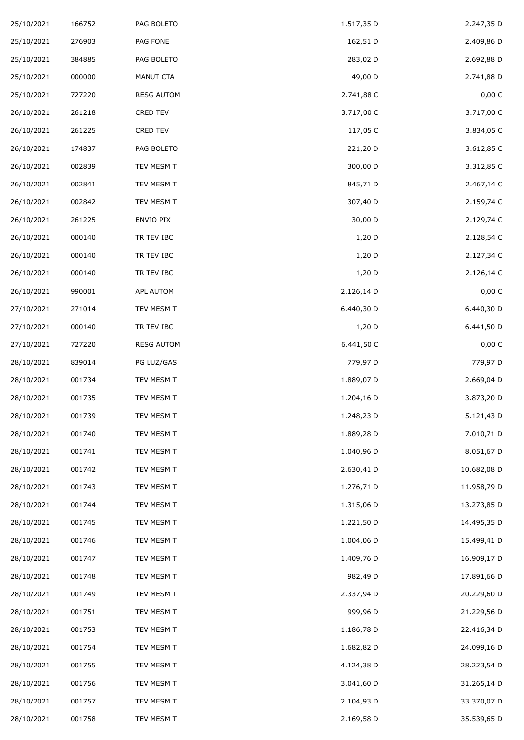| 25/10/2021 | 166752 | PAG BOLETO        | 1.517,35 D | 2.247,35 D  |
|------------|--------|-------------------|------------|-------------|
| 25/10/2021 | 276903 | PAG FONE          | 162,51 D   | 2.409,86 D  |
| 25/10/2021 | 384885 | PAG BOLETO        | 283,02 D   | 2.692,88 D  |
| 25/10/2021 | 000000 | MANUT CTA         | 49,00 D    | 2.741,88 D  |
| 25/10/2021 | 727220 | <b>RESG AUTOM</b> | 2.741,88 C | 0,00 C      |
| 26/10/2021 | 261218 | CRED TEV          | 3.717,00 C | 3.717,00 C  |
| 26/10/2021 | 261225 | CRED TEV          | 117,05 C   | 3.834,05 C  |
| 26/10/2021 | 174837 | PAG BOLETO        | 221,20 D   | 3.612,85 C  |
| 26/10/2021 | 002839 | TEV MESM T        | 300,00 D   | 3.312,85 C  |
| 26/10/2021 | 002841 | TEV MESM T        | 845,71 D   | 2.467,14 C  |
| 26/10/2021 | 002842 | TEV MESM T        | 307,40 D   | 2.159,74 C  |
| 26/10/2021 | 261225 | ENVIO PIX         | 30,00 D    | 2.129,74 C  |
| 26/10/2021 | 000140 | TR TEV IBC        | 1,20 D     | 2.128,54 C  |
| 26/10/2021 | 000140 | TR TEV IBC        | 1,20 D     | 2.127,34 C  |
| 26/10/2021 | 000140 | TR TEV IBC        | 1,20 D     | 2.126,14 C  |
| 26/10/2021 | 990001 | APL AUTOM         | 2.126,14 D | 0,00 C      |
| 27/10/2021 | 271014 | TEV MESM T        | 6.440,30 D | 6.440,30 D  |
| 27/10/2021 | 000140 | TR TEV IBC        | 1,20 D     | 6.441,50 D  |
| 27/10/2021 | 727220 | <b>RESG AUTOM</b> | 6.441,50 C | 0,00 C      |
| 28/10/2021 | 839014 | PG LUZ/GAS        | 779,97 D   | 779,97 D    |
| 28/10/2021 | 001734 | TEV MESM T        | 1.889,07 D | 2.669,04 D  |
| 28/10/2021 | 001735 | TEV MESM T        | 1.204,16 D | 3.873,20 D  |
| 28/10/2021 | 001739 | TEV MESM T        | 1.248,23 D | 5.121,43 D  |
| 28/10/2021 | 001740 | TEV MESM T        | 1.889,28 D | 7.010,71 D  |
| 28/10/2021 | 001741 | TEV MESM T        | 1.040,96 D | 8.051,67 D  |
| 28/10/2021 | 001742 | TEV MESM T        | 2.630,41 D | 10.682,08 D |
| 28/10/2021 | 001743 | TEV MESM T        | 1.276,71 D | 11.958,79 D |
| 28/10/2021 | 001744 | TEV MESM T        | 1.315,06 D | 13.273,85 D |
| 28/10/2021 | 001745 | TEV MESM T        | 1.221,50 D | 14.495,35 D |
| 28/10/2021 | 001746 | TEV MESM T        | 1.004,06 D | 15.499,41 D |
| 28/10/2021 | 001747 | TEV MESM T        | 1.409,76 D | 16.909,17 D |
| 28/10/2021 | 001748 | TEV MESM T        | 982,49 D   | 17.891,66 D |
| 28/10/2021 | 001749 | TEV MESM T        | 2.337,94 D | 20.229,60 D |
| 28/10/2021 | 001751 | TEV MESM T        | 999,96 D   | 21.229,56 D |
| 28/10/2021 | 001753 | TEV MESM T        | 1.186,78 D | 22.416,34 D |
| 28/10/2021 | 001754 | TEV MESM T        | 1.682,82 D | 24.099,16 D |
| 28/10/2021 | 001755 | TEV MESM T        | 4.124,38 D | 28.223,54 D |
| 28/10/2021 | 001756 | TEV MESM T        | 3.041,60 D | 31.265,14 D |
| 28/10/2021 | 001757 | TEV MESM T        | 2.104,93 D | 33.370,07 D |
| 28/10/2021 | 001758 | TEV MESM T        | 2.169,58 D | 35.539,65 D |